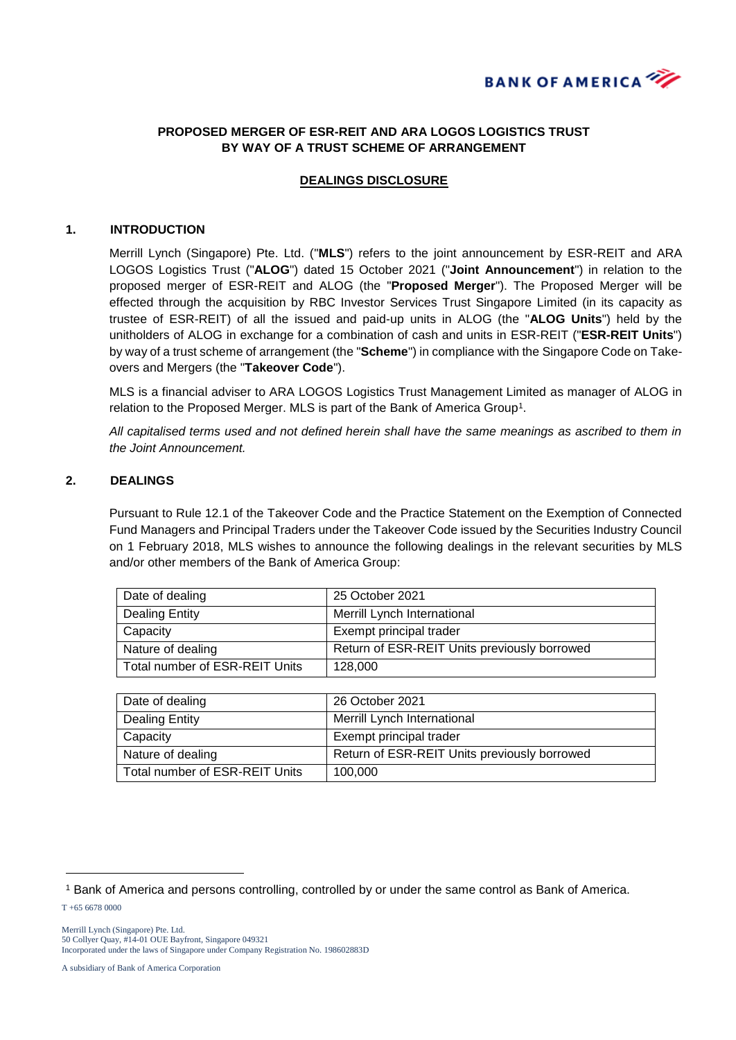

### **PROPOSED MERGER OF ESR-REIT AND ARA LOGOS LOGISTICS TRUST BY WAY OF A TRUST SCHEME OF ARRANGEMENT**

#### **DEALINGS DISCLOSURE**

#### **1. INTRODUCTION**

Merrill Lynch (Singapore) Pte. Ltd. ("**MLS**") refers to the joint announcement by ESR-REIT and ARA LOGOS Logistics Trust ("**ALOG**") dated 15 October 2021 ("**Joint Announcement**") in relation to the proposed merger of ESR-REIT and ALOG (the "**Proposed Merger**"). The Proposed Merger will be effected through the acquisition by RBC Investor Services Trust Singapore Limited (in its capacity as trustee of ESR-REIT) of all the issued and paid-up units in ALOG (the "**ALOG Units**") held by the unitholders of ALOG in exchange for a combination of cash and units in ESR-REIT ("**ESR-REIT Units**") by way of a trust scheme of arrangement (the "**Scheme**") in compliance with the Singapore Code on Takeovers and Mergers (the "**Takeover Code**").

MLS is a financial adviser to ARA LOGOS Logistics Trust Management Limited as manager of ALOG in relation to the Proposed Merger. MLS is part of the Bank of America Group<sup>1</sup>.

*All capitalised terms used and not defined herein shall have the same meanings as ascribed to them in the Joint Announcement.*

#### **2. DEALINGS**

Pursuant to Rule 12.1 of the Takeover Code and the Practice Statement on the Exemption of Connected Fund Managers and Principal Traders under the Takeover Code issued by the Securities Industry Council on 1 February 2018, MLS wishes to announce the following dealings in the relevant securities by MLS and/or other members of the Bank of America Group:

| Date of dealing                | 25 October 2021                              |
|--------------------------------|----------------------------------------------|
| Dealing Entity                 | Merrill Lynch International                  |
| Capacity                       | Exempt principal trader                      |
| Nature of dealing              | Return of ESR-REIT Units previously borrowed |
| Total number of ESR-REIT Units | 128,000                                      |

| Date of dealing                | 26 October 2021                              |
|--------------------------------|----------------------------------------------|
| Dealing Entity                 | Merrill Lynch International                  |
| Capacity                       | Exempt principal trader                      |
| Nature of dealing              | Return of ESR-REIT Units previously borrowed |
| Total number of ESR-REIT Units | 100.000                                      |

T +65 6678 0000

-

A subsidiary of Bank of America Corporation

<sup>1</sup> Bank of America and persons controlling, controlled by or under the same control as Bank of America.

Merrill Lynch (Singapore) Pte. Ltd. 50 Collyer Quay, #14-01 OUE Bayfront, Singapore 049321 Incorporated under the laws of Singapore under Company Registration No. 198602883D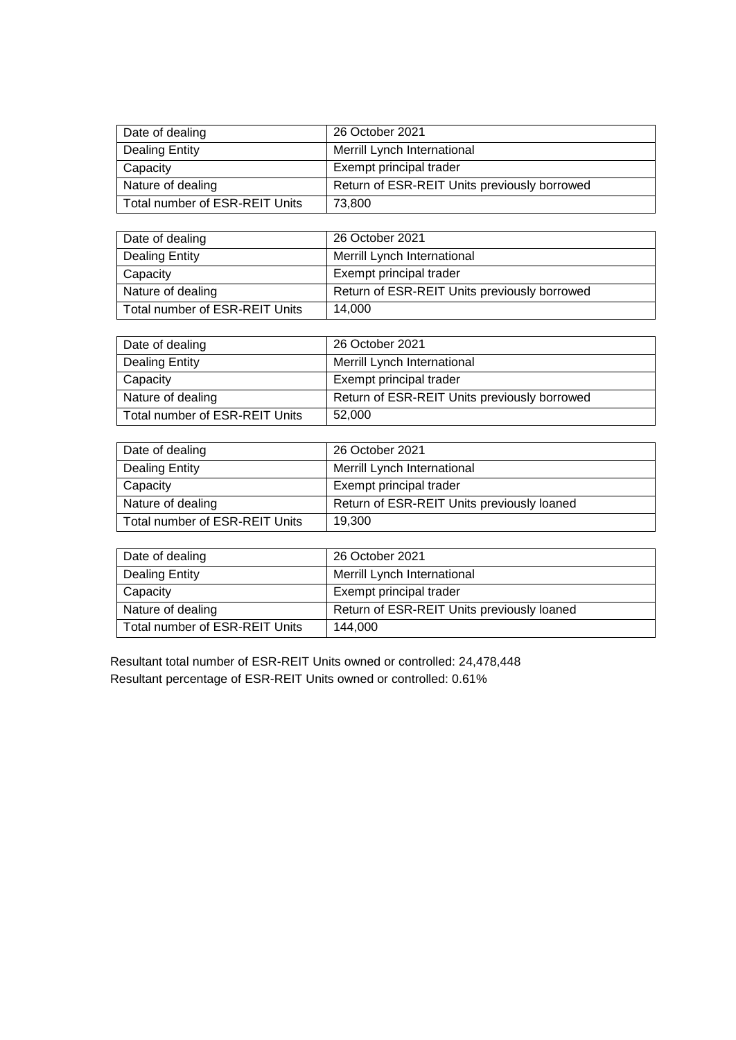| Date of dealing                | 26 October 2021                              |
|--------------------------------|----------------------------------------------|
| Dealing Entity                 | Merrill Lynch International                  |
| Capacity                       | Exempt principal trader                      |
| Nature of dealing              | Return of ESR-REIT Units previously borrowed |
| Total number of ESR-REIT Units | 73,800                                       |

| Date of dealing                | 26 October 2021                              |
|--------------------------------|----------------------------------------------|
| <b>Dealing Entity</b>          | Merrill Lynch International                  |
| Capacity                       | Exempt principal trader                      |
| Nature of dealing              | Return of ESR-REIT Units previously borrowed |
| Total number of ESR-REIT Units | 14,000                                       |

| Date of dealing                | 26 October 2021                              |
|--------------------------------|----------------------------------------------|
| <b>Dealing Entity</b>          | Merrill Lynch International                  |
| Capacity                       | Exempt principal trader                      |
| Nature of dealing              | Return of ESR-REIT Units previously borrowed |
| Total number of ESR-REIT Units | 52.000                                       |

| Date of dealing                | 26 October 2021                            |
|--------------------------------|--------------------------------------------|
| Dealing Entity                 | Merrill Lynch International                |
| Capacity                       | Exempt principal trader                    |
| Nature of dealing              | Return of ESR-REIT Units previously loaned |
| Total number of ESR-REIT Units | 19,300                                     |

| Date of dealing                | 26 October 2021                            |
|--------------------------------|--------------------------------------------|
| Dealing Entity                 | <b>Merrill Lynch International</b>         |
| Capacity                       | Exempt principal trader                    |
| Nature of dealing              | Return of ESR-REIT Units previously loaned |
| Total number of ESR-REIT Units | 144.000                                    |

Resultant total number of ESR-REIT Units owned or controlled: 24,478,448 Resultant percentage of ESR-REIT Units owned or controlled: 0.61%